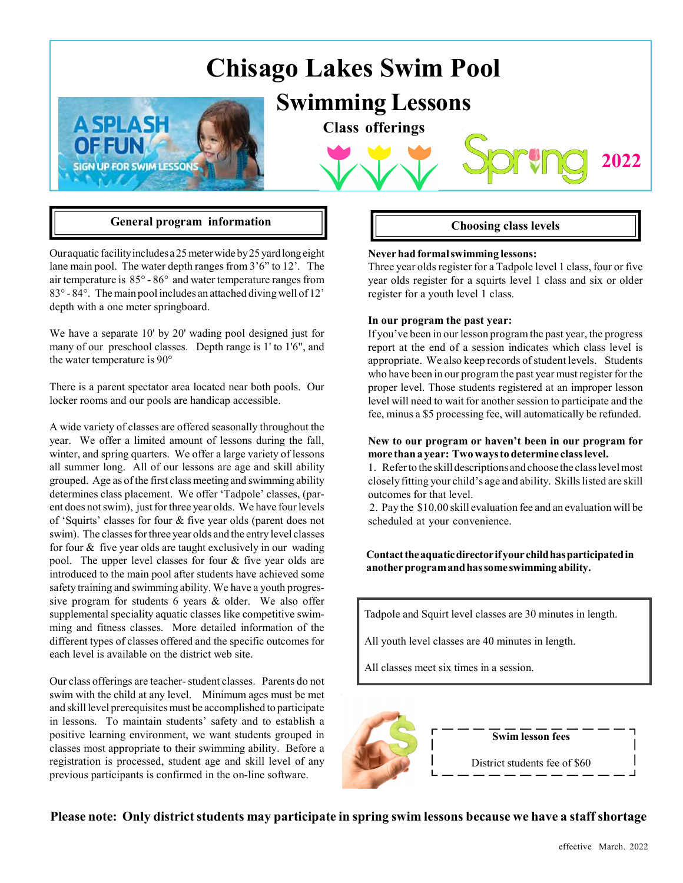# Chisago Lakes Swim Pool





Class offerings



Our aquatic facility includes a 25 meter wide by 25 yard long eight lane main pool. The water depth ranges from 3'6" to 12'. The air temperature is 85° - 86° and water temperature ranges from 83° - 84°. The main pool includes an attached diving well of 12' depth with a one meter springboard.

We have a separate 10' by 20' wading pool designed just for many of our preschool classes. Depth range is 1' to 1'6", and the water temperature is 90°

There is a parent spectator area located near both pools. Our locker rooms and our pools are handicap accessible.

A wide variety of classes are offered seasonally throughout the year. We offer a limited amount of lessons during the fall, winter, and spring quarters. We offer a large variety of lessons all summer long. All of our lessons are age and skill ability grouped. Age as of the first class meeting and swimming ability determines class placement. We offer 'Tadpole' classes, (parent does not swim), just for three year olds. We have four levels of 'Squirts' classes for four & five year olds (parent does not swim). The classes for three year olds and the entry level classes for four & five year olds are taught exclusively in our wading pool. The upper level classes for four & five year olds are introduced to the main pool after students have achieved some safety training and swimming ability. We have a youth progressive program for students 6 years & older. We also offer supplemental speciality aquatic classes like competitive swimming and fitness classes. More detailed information of the different types of classes offered and the specific outcomes for each level is available on the district web site.

Our class offerings are teacher- student classes. Parents do not swim with the child at any level. Minimum ages must be met and skill level prerequisites must be accomplished to participate in lessons. To maintain students' safety and to establish a positive learning environment, we want students grouped in classes most appropriate to their swimming ability. Before a registration is processed, student age and skill level of any previous participants is confirmed in the on-line software.

2022

### Never had formal swimming lessons:

Three year olds register for a Tadpole level 1 class, four or five year olds register for a squirts level 1 class and six or older register for a youth level 1 class.

### In our program the past year:

If you've been in our lesson program the past year, the progress report at the end of a session indicates which class level is appropriate. We also keep records of student levels. Students who have been in our program the past year must register for the proper level. Those students registered at an improper lesson level will need to wait for another session to participate and the fee, minus a \$5 processing fee, will automatically be refunded.

### New to our program or haven't been in our program for more than a year: Two ways to determine class level.

1. Refer to the skill descriptions and choose the class level most closely fitting your child's age and ability. Skills listed are skill outcomes for that level.

 2. Pay the \$10.00 skill evaluation fee and an evaluation will be scheduled at your convenience.

### Contact the aquatic director if your child has participated in another program and has some swimming ability.

Tadpole and Squirt level classes are 30 minutes in length.

All youth level classes are 40 minutes in length.

All classes meet six times in a session.



### Please note: Only district students may participate in spring swim lessons because we have a staff shortage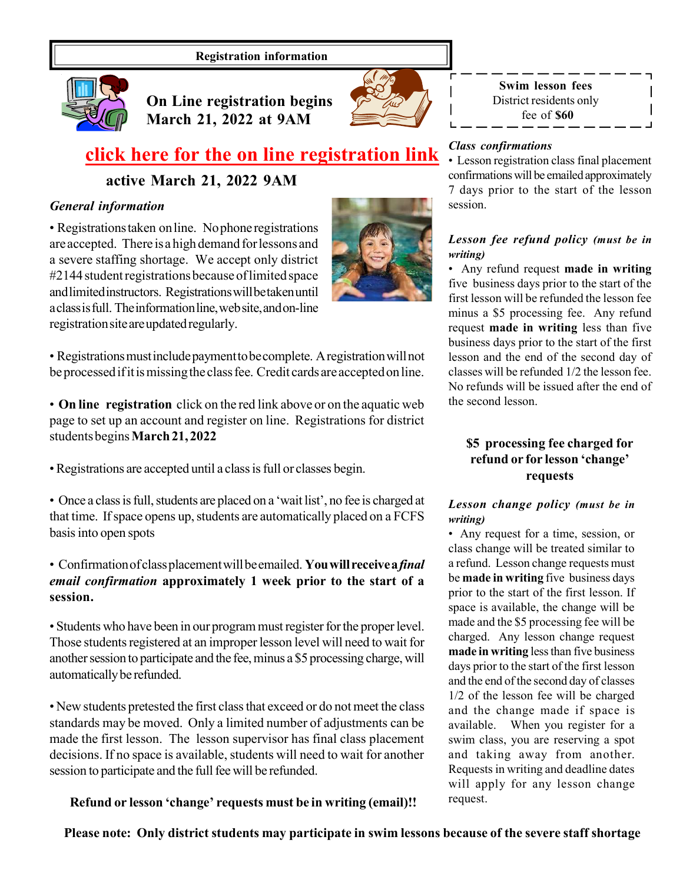### Registration information



On Line registration begins March 21, 2022 at 9AM



Swim lesson fees District residents only fee of \$60

## [click here for the on line registration link](http://chisagopool.registryinsight.com/)

active March 21, 2022 9AM

### General information

• Registrations taken on line. No phone registrations are accepted. There is a high demand for lessons and a severe staffing shortage. We accept only district #2144 student registrations because of limited space and limited instructors. Registrations will be taken until a class is full. The information line, web site, and on-line registration site are updated regularly.

• Registrations must include payment to be complete. A registration will not be processed if it is missing the class fee. Credit cards are accepted on line.

• On line registration click on the red link above or on the aquatic web page to set up an account and register on line. Registrations for district students begins March 21, 2022

• Registrations are accepted until a class is full or classes begin.

• Once a class is full, students are placed on a 'wait list', no fee is charged at that time. If space opens up, students are automatically placed on a FCFS basis into open spots

### • Confirmation of class placement will be emailed. You will receive a final email confirmation approximately 1 week prior to the start of a session.

• Students who have been in our program must register for the proper level. Those students registered at an improper lesson level will need to wait for another session to participate and the fee, minus a \$5 processing charge, will automatically be refunded.

• New students pretested the first class that exceed or do not meet the class standards may be moved. Only a limited number of adjustments can be made the first lesson. The lesson supervisor has final class placement decisions. If no space is available, students will need to wait for another session to participate and the full fee will be refunded.

Refund or lesson 'change' requests must be in writing (email)!!

### Class confirmations

• Lesson registration class final placement confirmations will be emailed approximately 7 days prior to the start of the lesson session.

### Lesson fee refund policy (must be in writing)

• Any refund request made in writing five business days prior to the start of the first lesson will be refunded the lesson fee minus a \$5 processing fee. Any refund request made in writing less than five business days prior to the start of the first lesson and the end of the second day of classes will be refunded 1/2 the lesson fee. No refunds will be issued after the end of the second lesson.

### \$5 processing fee charged for refund or for lesson 'change' requests

### Lesson change policy (must be in writing)

• Any request for a time, session, or class change will be treated similar to a refund. Lesson change requests must be made in writing five business days prior to the start of the first lesson. If space is available, the change will be made and the \$5 processing fee will be charged. Any lesson change request made in writing less than five business days prior to the start of the first lesson and the end of the second day of classes 1/2 of the lesson fee will be charged and the change made if space is available. When you register for a swim class, you are reserving a spot and taking away from another. Requests in writing and deadline dates will apply for any lesson change request.